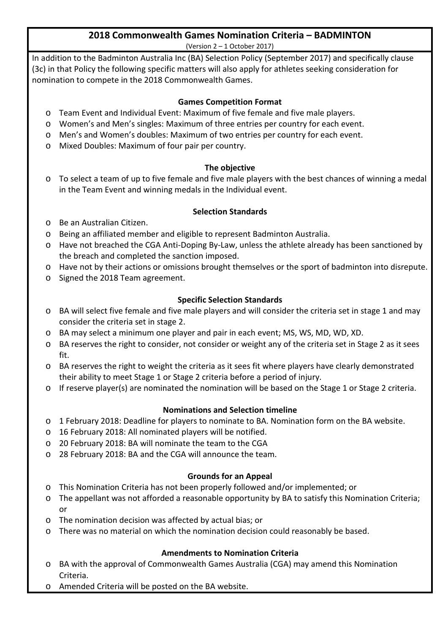#### **2018 Commonwealth Games Nomination Criteria – BADMINTON** (Version 2 – 1 October 2017)

In addition to the Badminton Australia Inc (BA) Selection Policy (September 2017) and specifically clause (3c) in that Policy the following specific matters will also apply for athletes seeking consideration for nomination to compete in the 2018 Commonwealth Games.

### **Games Competition Format**

- o Team Event and Individual Event: Maximum of five female and five male players.
- o Women's and Men's singles: Maximum of three entries per country for each event.
- o Men's and Women's doubles: Maximum of two entries per country for each event.
- o Mixed Doubles: Maximum of four pair per country.

### **The objective**

o To select a team of up to five female and five male players with the best chances of winning a medal in the Team Event and winning medals in the Individual event.

### **Selection Standards**

- o Be an Australian Citizen.
- o Being an affiliated member and eligible to represent Badminton Australia.
- o Have not breached the CGA Anti-Doping By-Law, unless the athlete already has been sanctioned by the breach and completed the sanction imposed.
- o Have not by their actions or omissions brought themselves or the sport of badminton into disrepute.
- o Signed the 2018 Team agreement.

### **Specific Selection Standards**

- o BA will select five female and five male players and will consider the criteria set in stage 1 and may consider the criteria set in stage 2.
- o BA may select a minimum one player and pair in each event; MS, WS, MD, WD, XD.
- o BA reserves the right to consider, not consider or weight any of the criteria set in Stage 2 as it sees fit.
- o BA reserves the right to weight the criteria as it sees fit where players have clearly demonstrated their ability to meet Stage 1 or Stage 2 criteria before a period of injury.
- o If reserve player(s) are nominated the nomination will be based on the Stage 1 or Stage 2 criteria.

### **Nominations and Selection timeline**

- o 1 February 2018: Deadline for players to nominate to BA. Nomination form on the BA website.
- o 16 February 2018: All nominated players will be notified.
- o 20 February 2018: BA will nominate the team to the CGA
- o 28 February 2018: BA and the CGA will announce the team.

### **Grounds for an Appeal**

- o This Nomination Criteria has not been properly followed and/or implemented; or
- o The appellant was not afforded a reasonable opportunity by BA to satisfy this Nomination Criteria; or
- o The nomination decision was affected by actual bias; or
- o There was no material on which the nomination decision could reasonably be based.

## **Amendments to Nomination Criteria**

- o BA with the approval of Commonwealth Games Australia (CGA) may amend this Nomination Criteria.
- o Amended Criteria will be posted on the BA website.